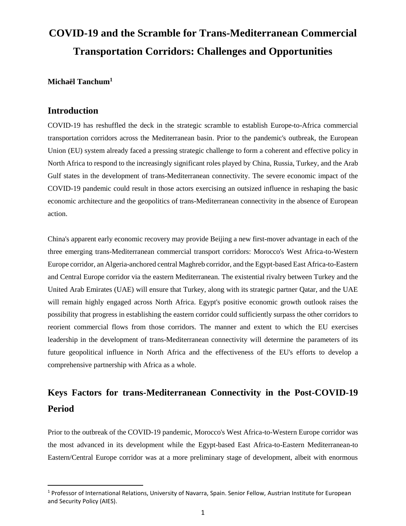# **COVID-19 and the Scramble for Trans-Mediterranean Commercial Transportation Corridors: Challenges and Opportunities**

**Michaël Tanchum<sup>1</sup>**

#### **Introduction**

 $\overline{a}$ 

COVID-19 has reshuffled the deck in the strategic scramble to establish Europe-to-Africa commercial transportation corridors across the Mediterranean basin. Prior to the pandemic's outbreak, the European Union (EU) system already faced a pressing strategic challenge to form a coherent and effective policy in North Africa to respond to the increasingly significant roles played by China, Russia, Turkey, and the Arab Gulf states in the development of trans-Mediterranean connectivity. The severe economic impact of the COVID-19 pandemic could result in those actors exercising an outsized influence in reshaping the basic economic architecture and the geopolitics of trans-Mediterranean connectivity in the absence of European action.

China's apparent early economic recovery may provide Beijing a new first-mover advantage in each of the three emerging trans-Mediterranean commercial transport corridors: Morocco's West Africa-to-Western Europe corridor, an Algeria-anchored central Maghreb corridor, and the Egypt-based East Africa-to-Eastern and Central Europe corridor via the eastern Mediterranean. The existential rivalry between Turkey and the United Arab Emirates (UAE) will ensure that Turkey, along with its strategic partner Qatar, and the UAE will remain highly engaged across North Africa. Egypt's positive economic growth outlook raises the possibility that progress in establishing the eastern corridor could sufficiently surpass the other corridors to reorient commercial flows from those corridors. The manner and extent to which the EU exercises leadership in the development of trans-Mediterranean connectivity will determine the parameters of its future geopolitical influence in North Africa and the effectiveness of the EU's efforts to develop a comprehensive partnership with Africa as a whole.

## **Keys Factors for trans-Mediterranean Connectivity in the Post-COVID-19 Period**

Prior to the outbreak of the COVID-19 pandemic, Morocco's West Africa-to-Western Europe corridor was the most advanced in its development while the Egypt-based East Africa-to-Eastern Mediterranean-to Eastern/Central Europe corridor was at a more preliminary stage of development, albeit with enormous

<sup>&</sup>lt;sup>1</sup> Professor of International Relations, University of Navarra, Spain. Senior Fellow, Austrian Institute for European and Security Policy (AIES).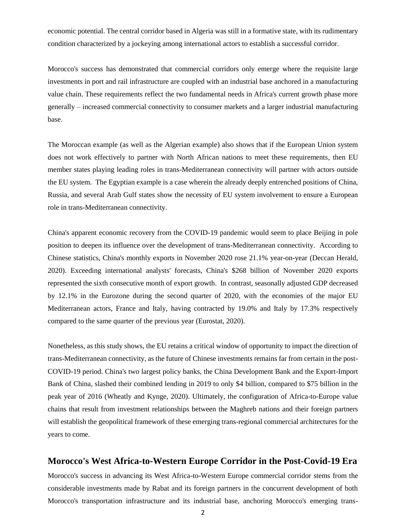economic potential. The central corridor based in Algeria was still in a formative state, with its rudimentary condition characterized by a jockeying among international actors to establish a successful corridor.

Morocco's success has demonstrated that commercial corridors only emerge where the requisite large investments in port and rail infrastructure are coupled with an industrial base anchored in a manufacturing value chain. These requirements reflect the two fundamental needs in Africa's current growth phase more generally – increased commercial connectivity to consumer markets and a larger industrial manufacturing base.

The Moroccan example (as well as the Algerian example) also shows that if the European Union system does not work effectively to partner with North African nations to meet these requirements, then EU member states playing leading roles in trans-Mediterranean connectivity will partner with actors outside the EU system. The Egyptian example is a case wherein the already deeply entrenched positions of China, Russia, and several Arab Gulf states show the necessity of EU system involvement to ensure a European role in trans-Mediterranean connectivity.

China's apparent economic recovery from the COVID-19 pandemic would seem to place Beijing in pole position to deepen its influence over the development of trans-Mediterranean connectivity. According to Chinese statistics, China's monthly exports in November 2020 rose 21.1% year-on-year (Deccan Herald, 2020). Exceeding international analysts' forecasts, China's \$268 billion of November 2020 exports represented the sixth consecutive month of export growth. In contrast, seasonally adjusted GDP decreased by 12.1% in the Eurozone during the second quarter of 2020, with the economies of the major EU Mediterranean actors, France and Italy, having contracted by 19.0% and Italy by 17.3% respectively compared to the same quarter of the previous year (Eurostat, 2020).

Nonetheless, as this study shows, the EU retains a critical window of opportunity to impact the direction of trans-Mediterranean connectivity, as the future of Chinese investments remains far from certain in the post-COVID-19 period. China's two largest policy banks, the China Development Bank and the Export-Import Bank of China, slashed their combined lending in 2019 to only \$4 billion, compared to \$75 billion in the peak year of 2016 (Wheatly and Kynge, 2020). Ultimately, the configuration of Africa-to-Europe value chains that result from investment relationships between the Maghreb nations and their foreign partners will establish the geopolitical framework of these emerging trans-regional commercial architectures for the years to come.

#### **Morocco's West Africa-to-Western Europe Corridor in the Post-Covid-19 Era**

Morocco's success in advancing its West Africa-to-Western Europe commercial corridor stems from the considerable investments made by Rabat and its foreign partners in the concurrent development of both Morocco's transportation infrastructure and its industrial base, anchoring Morocco's emerging trans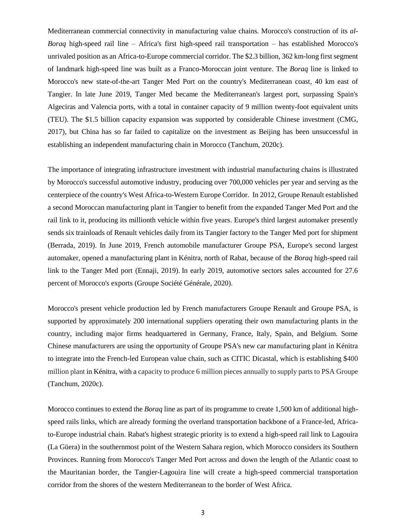Mediterranean commercial connectivity in manufacturing value chains. Morocco's construction of its *al-Boraq* high-speed rail line – Africa's first high-speed rail transportation – has established Morocco's unrivaled position as an Africa-to-Europe commercial corridor. The \$2.3 billion, 362 km-long first segment of landmark high-speed line was built as a Franco-Moroccan joint venture. The *Boraq* line is linked to Morocco's new state-of-the-art Tanger Med Port on the country's Mediterranean coast, 40 km east of Tangier. In late June 2019, Tanger Med became the Mediterranean's largest port, surpassing Spain's Algeciras and Valencia ports, with a total in container capacity of 9 million twenty-foot equivalent units (TEU). The \$1.5 billion capacity expansion was supported by considerable Chinese investment (CMG, 2017), but China has so far failed to capitalize on the investment as Beijing has been unsuccessful in establishing an independent manufacturing chain in Morocco (Tanchum, 2020c).

The importance of integrating infrastructure investment with industrial manufacturing chains is illustrated by Morocco's successful automotive industry, producing over 700,000 vehicles per year and serving as the centerpiece of the country's West Africa-to-Western Europe Corridor.In 2012, Groupe Renault established a second Moroccan manufacturing plant in Tangier to benefit from the expanded Tanger Med Port and the rail link to it, producing its millionth vehicle within five years. Europe's third largest automaker presently sends six trainloads of Renault vehicles daily from its Tangier factory to the Tanger Med port for shipment (Berrada, 2019). In June 2019, French automobile manufacturer Groupe PSA, Europe's second largest automaker, opened a manufacturing plant in Kénitra, north of Rabat, because of the *Boraq* high-speed rail link to the Tanger Med port (Ennaji, 2019). In early 2019, automotive sectors sales accounted for 27.6 percent of Morocco's exports (Groupe Société Générale, 2020).

Morocco's present vehicle production led by French manufacturers Groupe Renault and Groupe PSA, is supported by approximately 200 international suppliers operating their own manufacturing plants in the country, including major firms headquartered in Germany, France, Italy, Spain, and Belgium. Some Chinese manufacturers are using the opportunity of Groupe PSA's new car manufacturing plant in Kénitra to integrate into the French-led European value chain, such as CITIC Dicastal, which is establishing \$400 million plant in Kénitra, with a capacity to produce 6 million pieces annually to supply parts to PSA Groupe (Tanchum, 2020c).

Morocco continues to extend the *Boraq* line as part of its programme to create 1,500 km of additional highspeed rails links, which are already forming the overland transportation backbone of a France-led, Africato-Europe industrial chain. Rabat's highest strategic priority is to extend a high-speed rail link to Lagouira (La Güera) in the southernmost point of the Western Sahara region, which Morocco considers its Southern Provinces. Running from Morocco's Tanger Med Port across and down the length of the Atlantic coast to the Mauritanian border, the Tangier-Lagouira line will create a high-speed commercial transportation corridor from the shores of the western Mediterranean to the border of West Africa.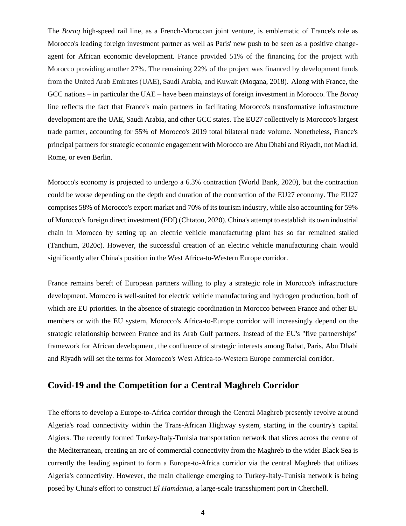The *Boraq* high-speed rail line, as a French-Moroccan joint venture, is emblematic of France's role as Morocco's leading foreign investment partner as well as Paris' new push to be seen as a positive changeagent for African economic development. France provided 51% of the financing for the project with Morocco providing another 27%. The remaining 22% of the project was financed by development funds from the United Arab Emirates (UAE), Saudi Arabia, and Kuwait (Moqana, 2018). Along with France, the GCC nations – in particular the UAE – have been mainstays of foreign investment in Morocco. The *Boraq*  line reflects the fact that France's main partners in facilitating Morocco's transformative infrastructure development are the UAE, Saudi Arabia, and other GCC states. The EU27 collectively is Morocco's largest trade partner, accounting for 55% of Morocco's 2019 total bilateral trade volume. Nonetheless, France's principal partners for strategic economic engagement with Morocco are Abu Dhabi and Riyadh, not Madrid, Rome, or even Berlin.

Morocco's economy is projected to undergo a 6.3% contraction (World Bank, 2020), but the contraction could be worse depending on the depth and duration of the contraction of the EU27 economy. The EU27 comprises 58% of Morocco's export market and 70% of its tourism industry, while also accounting for 59% of Morocco's foreign direct investment (FDI) (Chtatou, 2020). China's attempt to establish its own industrial chain in Morocco by setting up an electric vehicle manufacturing plant has so far remained stalled (Tanchum, 2020c). However, the successful creation of an electric vehicle manufacturing chain would significantly alter China's position in the West Africa-to-Western Europe corridor.

France remains bereft of European partners willing to play a strategic role in Morocco's infrastructure development. Morocco is well-suited for electric vehicle manufacturing and hydrogen production, both of which are EU priorities. In the absence of strategic coordination in Morocco between France and other EU members or with the EU system, Morocco's Africa-to-Europe corridor will increasingly depend on the strategic relationship between France and its Arab Gulf partners. Instead of the EU's "five partnerships" framework for African development, the confluence of strategic interests among Rabat, Paris, Abu Dhabi and Riyadh will set the terms for Morocco's West Africa-to-Western Europe commercial corridor.

### **Covid-19 and the Competition for a Central Maghreb Corridor**

The efforts to develop a Europe-to-Africa corridor through the Central Maghreb presently revolve around Algeria's road connectivity within the Trans-African Highway system, starting in the country's capital Algiers. The recently formed Turkey-Italy-Tunisia transportation network that slices across the centre of the Mediterranean, creating an arc of commercial connectivity from the Maghreb to the wider Black Sea is currently the leading aspirant to form a Europe-to-Africa corridor via the central Maghreb that utilizes Algeria's connectivity. However, the main challenge emerging to Turkey-Italy-Tunisia network is being posed by China's effort to construct *El Hamdania*, a large-scale transshipment port in Cherchell.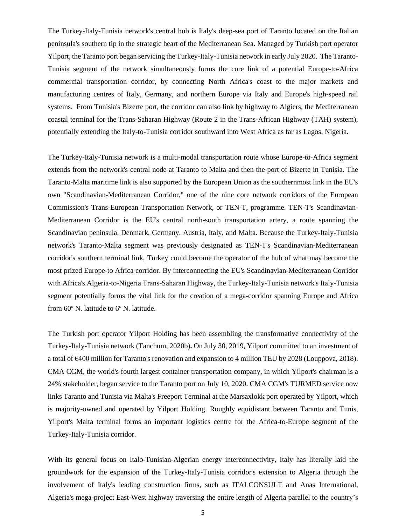The Turkey-Italy-Tunisia network's central hub is Italy's deep-sea port of Taranto located on the Italian peninsula's southern tip in the strategic heart of the Mediterranean Sea. Managed by Turkish port operator Yilport, the Taranto port began servicing the Turkey-Italy-Tunisia network in early July 2020. The Taranto-Tunisia segment of the network simultaneously forms the core link of a potential Europe-to-Africa commercial transportation corridor, by connecting North Africa's coast to the major markets and manufacturing centres of Italy, Germany, and northern Europe via Italy and Europe's high-speed rail systems. From Tunisia's Bizerte port, the corridor can also link by highway to Algiers, the Mediterranean coastal terminal for the Trans-Saharan Highway (Route 2 in the Trans-African Highway (TAH) system), potentially extending the Italy-to-Tunisia corridor southward into West Africa as far as Lagos, Nigeria.

The Turkey-Italy-Tunisia network is a multi-modal transportation route whose Europe-to-Africa segment extends from the network's central node at Taranto to Malta and then the port of Bizerte in Tunisia. The Taranto-Malta maritime link is also supported by the European Union as the southernmost link in the EU's own "Scandinavian-Mediterranean Corridor," one of the nine core network corridors of the European Commission's Trans-European Transportation Network, or TEN-T, programme. TEN-T's Scandinavian-Mediterranean Corridor is the EU's central north-south transportation artery, a route spanning the Scandinavian peninsula, Denmark, Germany, Austria, Italy, and Malta. Because the Turkey-Italy-Tunisia network's Taranto-Malta segment was previously designated as TEN-T's Scandinavian-Mediterranean corridor's southern terminal link, Turkey could become the operator of the hub of what may become the most prized Europe-to Africa corridor. By interconnecting the EU's Scandinavian-Mediterranean Corridor with Africa's Algeria-to-Nigeria Trans-Saharan Highway, the Turkey-Italy-Tunisia network's Italy-Tunisia segment potentially forms the vital link for the creation of a mega-corridor spanning Europe and Africa from  $60^{\circ}$  N. latitude to  $6^{\circ}$  N. latitude.

The Turkish port operator Yilport Holding has been assembling the transformative connectivity of the Turkey-Italy-Tunisia network (Tanchum, 2020b)**.** On July 30, 2019, Yilport committed to an investment of a total of €400 million for Taranto's renovation and expansion to 4 million TEU by 2028 (Louppova, 2018). CMA CGM, the world's fourth largest container transportation company, in which Yilport's chairman is a 24% stakeholder, began service to the Taranto port on July 10, 2020. CMA CGM's TURMED service now links Taranto and Tunisia via Malta's Freeport Terminal at the Marsaxlokk port operated by Yilport, which is majority-owned and operated by Yilport Holding. Roughly equidistant between Taranto and Tunis, Yilport's Malta terminal forms an important logistics centre for the Africa-to-Europe segment of the Turkey-Italy-Tunisia corridor.

With its general focus on Italo-Tunisian-Algerian energy interconnectivity, Italy has literally laid the groundwork for the expansion of the Turkey-Italy-Tunisia corridor's extension to Algeria through the involvement of Italy's leading construction firms, such as ITALCONSULT and Anas International, Algeria's mega-project East-West highway traversing the entire length of Algeria parallel to the country's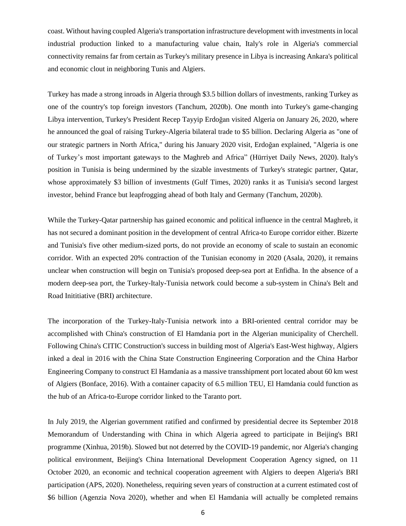coast. Without having coupled Algeria's transportation infrastructure development with investmentsin local industrial production linked to a manufacturing value chain, Italy's role in Algeria's commercial connectivity remains far from certain as Turkey's military presence in Libya is increasing Ankara's political and economic clout in neighboring Tunis and Algiers.

Turkey has made a strong inroads in Algeria through \$3.5 billion dollars of investments, ranking Turkey as one of the country's top foreign investors (Tanchum, 2020b). One month into Turkey's game-changing Libya intervention, Turkey's President Recep Tayyip Erdoğan visited Algeria on January 26, 2020, where he announced the goal of raising Turkey-Algeria bilateral trade to \$5 billion. Declaring Algeria as "one of our strategic partners in North Africa," during his January 2020 visit, Erdoğan explained, "Algeria is one of Turkey's most important gateways to the Maghreb and Africa" (Hürriyet Daily News, 2020). Italy's position in Tunisia is being undermined by the sizable investments of Turkey's strategic partner, Qatar, whose approximately \$3 billion of investments (Gulf Times, 2020) ranks it as Tunisia's second largest investor, behind France but leapfrogging ahead of both Italy and Germany (Tanchum, 2020b).

While the Turkey-Qatar partnership has gained economic and political influence in the central Maghreb, it has not secured a dominant position in the development of central Africa-to Europe corridor either. Bizerte and Tunisia's five other medium-sized ports, do not provide an economy of scale to sustain an economic corridor. With an expected 20% contraction of the Tunisian economy in 2020 (Asala, 2020), it remains unclear when construction will begin on Tunisia's proposed deep-sea port at Enfidha. In the absence of a modern deep-sea port, the Turkey-Italy-Tunisia network could become a sub-system in China's Belt and Road Inititiative (BRI) architecture.

The incorporation of the Turkey-Italy-Tunisia network into a BRI-oriented central corridor may be accomplished with China's construction of El Hamdania port in the Algerian municipality of Cherchell. Following China's CITIC Construction's success in building most of Algeria's East-West highway, Algiers inked a deal in 2016 with the China State Construction Engineering Corporation and the China Harbor Engineering Company to construct El Hamdania as a massive transshipment port located about 60 km west of Algiers (Bonface, 2016). With a container capacity of 6.5 million TEU, El Hamdania could function as the hub of an Africa-to-Europe corridor linked to the Taranto port.

In July 2019, the Algerian government ratified and confirmed by presidential decree its September 2018 Memorandum of Understanding with China in which Algeria agreed to participate in Beijing's BRI programme (Xinhua, 2019b). Slowed but not deterred by the COVID-19 pandemic, nor Algeria's changing political environment, Beijing's China International Development Cooperation Agency signed, on 11 October 2020, an economic and technical cooperation agreement with Algiers to deepen Algeria's BRI participation (APS, 2020). Nonetheless, requiring seven years of construction at a current estimated cost of \$6 billion (Agenzia Nova 2020), whether and when El Hamdania will actually be completed remains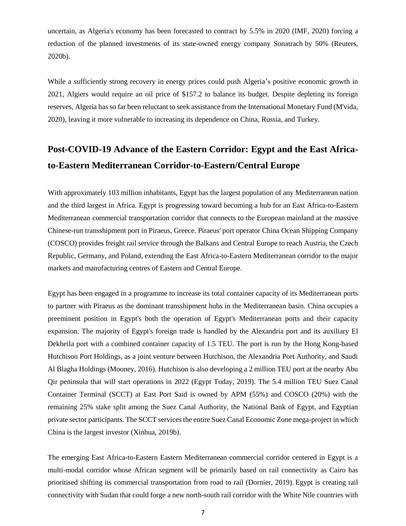uncertain, as Algeria's economy has been forecasted to contract by 5.5% in 2020 (IMF, 2020) forcing a reduction of the planned investments of its state-owned energy company Sonatrach by 50% (Reuters, 2020b).

While a sufficiently strong recovery in energy prices could push Algeria's positive economic growth in 2021, Algiers would require an oil price of \$157.2 to balance its budget. Despite depleting its foreign reserves, Algeria has so far been reluctant to seek assistance from the International Monetary Fund (M'vida, 2020), leaving it more vulnerable to increasing its dependence on China, Russia, and Turkey.

### **Post-COVID-19 Advance of the Eastern Corridor: Egypt and the East Africato-Eastern Mediterranean Corridor-to-Eastern/Central Europe**

With approximately 103 million inhabitants, Egypt has the largest population of any Mediterranean nation and the third largest in Africa. Egypt is progressing toward becoming a hub for an East Africa-to-Eastern Mediterranean commercial transportation corridor that connects to the European mainland at the massive Chinese-run transshipment port in Piraeus, Greece. Piraeus' port operator China Ocean Shipping Company (COSCO) provides freight rail service through the Balkans and Central Europe to reach Austria, the Czech Republic, Germany, and Poland, extending the East Africa-to-Eastern Mediterranean corridor to the major markets and manufacturing centres of Eastern and Central Europe.

Egypt has been engaged in a programme to increase its total container capacity of its Mediterranean ports to partner with Piraeus as the dominant transshipment hubs in the Mediterranean basin. China occupies a preeminent position in Egypt's both the operation of Egypt's Mediterranean ports and their capacity expansion. The majority of Egypt's foreign trade is handled by the Alexandria port and its auxiliary El Dekheila port with a combined container capacity of 1.5 TEU. The port is run by the Hong Kong-based Hutchison Port Holdings, as a joint venture between Hutchison, the Alexandria Port Authority, and Saudi Al Blagha Holdings (Mooney, 2016). Hutchison is also developing a 2 million TEU port at the nearby Abu Qir peninsula that will start operations in 2022 (Egypt Today, 2019). The 5.4 million TEU Suez Canal Container Terminal (SCCT) at East Port Said is owned by APM (55%) and COSCO (20%) with the remaining 25% stake split among the Suez Canal Authority, the National Bank of Egypt, and Egyptian private sector participants. The SCCT services the entire Suez Canal Economic Zone mega-project in which China is the largest investor (Xinhua, 2019b).

The emerging East Africa-to-Eastern Eastern Mediterranean commercial corridor centered in Egypt is a multi-modal corridor whose African segment will be primarily based on rail connectivity as Cairo has prioritised shifting its commercial transportation from road to rail (Dornier, 2019). Egypt is creating rail connectivity with Sudan that could forge a new north-south rail corridor with the White Nile countries with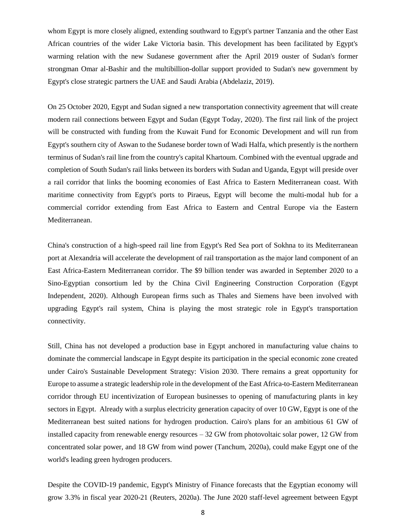whom Egypt is more closely aligned, extending southward to Egypt's partner Tanzania and the other East African countries of the wider Lake Victoria basin. This development has been facilitated by Egypt's warming relation with the new Sudanese government after the April 2019 ouster of Sudan's former strongman Omar al-Bashir and the multibillion-dollar support provided to Sudan's new government by Egypt's close strategic partners the UAE and Saudi Arabia (Abdelaziz, 2019).

On 25 October 2020, Egypt and Sudan signed a new transportation connectivity agreement that will create modern rail connections between Egypt and Sudan (Egypt Today, 2020). The first rail link of the project will be constructed with funding from the Kuwait Fund for Economic Development and will run from Egypt's southern city of Aswan to the Sudanese border town of Wadi Halfa, which presently is the northern terminus of Sudan's rail line from the country's capital Khartoum. Combined with the eventual upgrade and completion of South Sudan's rail links between its borders with Sudan and Uganda, Egypt will preside over a rail corridor that links the booming economies of East Africa to Eastern Mediterranean coast. With maritime connectivity from Egypt's ports to Piraeus, Egypt will become the multi-modal hub for a commercial corridor extending from East Africa to Eastern and Central Europe via the Eastern Mediterranean.

China's construction of a high-speed rail line from Egypt's Red Sea port of Sokhna to its Mediterranean port at Alexandria will accelerate the development of rail transportation as the major land component of an East Africa-Eastern Mediterranean corridor. The \$9 billion tender was awarded in September 2020 to a Sino-Egyptian consortium led by the China Civil Engineering Construction Corporation (Egypt Independent, 2020). Although European firms such as Thales and Siemens have been involved with upgrading Egypt's rail system, China is playing the most strategic role in Egypt's transportation connectivity.

Still, China has not developed a production base in Egypt anchored in manufacturing value chains to dominate the commercial landscape in Egypt despite its participation in the special economic zone created under Cairo's Sustainable Development Strategy: Vision 2030. There remains a great opportunity for Europe to assume a strategic leadership role in the development of the East Africa-to-Eastern Mediterranean corridor through EU incentivization of European businesses to opening of manufacturing plants in key sectors in Egypt. Already with a surplus electricity generation capacity of over 10 GW, Egypt is one of the Mediterranean best suited nations for hydrogen production. Cairo's plans for an ambitious 61 GW of installed capacity from renewable energy resources – 32 GW from photovoltaic solar power, 12 GW from concentrated solar power, and 18 GW from wind power (Tanchum, 2020a), could make Egypt one of the world's leading green hydrogen producers.

Despite the COVID-19 pandemic, Egypt's Ministry of Finance forecasts that the Egyptian economy will grow 3.3% in fiscal year 2020-21 (Reuters, 2020a). The June 2020 staff-level agreement between Egypt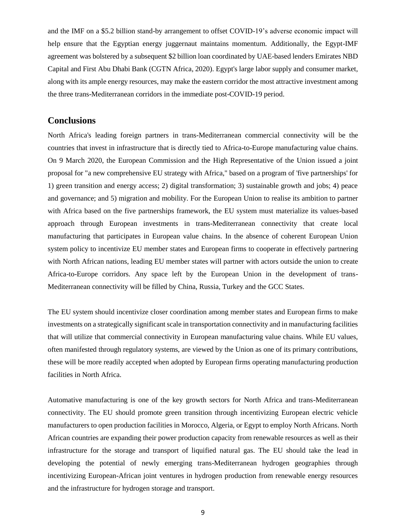and the IMF on a \$5.2 billion stand-by arrangement to offset COVID-19's adverse economic impact will help ensure that the Egyptian energy juggernaut maintains momentum. Additionally, the Egypt-IMF agreement was bolstered by a subsequent \$2 billion loan coordinated by UAE-based lenders Emirates NBD Capital and First Abu Dhabi Bank (CGTN Africa, 2020). Egypt's large labor supply and consumer market, along with its ample energy resources, may make the eastern corridor the most attractive investment among the three trans-Mediterranean corridors in the immediate post-COVID-19 period.

#### **Conclusions**

North Africa's leading foreign partners in trans-Mediterranean commercial connectivity will be the countries that invest in infrastructure that is directly tied to Africa-to-Europe manufacturing value chains. On 9 March 2020, the European Commission and the High Representative of the Union issued a joint proposal for "a new comprehensive EU strategy with Africa," based on a program of 'five partnerships' for 1) green transition and energy access; 2) digital transformation; 3) sustainable growth and jobs; 4) peace and governance; and 5) migration and mobility. For the European Union to realise its ambition to partner with Africa based on the five partnerships framework, the EU system must materialize its values-based approach through European investments in trans-Mediterranean connectivity that create local manufacturing that participates in European value chains. In the absence of coherent European Union system policy to incentivize EU member states and European firms to cooperate in effectively partnering with North African nations, leading EU member states will partner with actors outside the union to create Africa-to-Europe corridors. Any space left by the European Union in the development of trans-Mediterranean connectivity will be filled by China, Russia, Turkey and the GCC States.

The EU system should incentivize closer coordination among member states and European firms to make investments on a strategically significant scale in transportation connectivity and in manufacturing facilities that will utilize that commercial connectivity in European manufacturing value chains. While EU values, often manifested through regulatory systems, are viewed by the Union as one of its primary contributions, these will be more readily accepted when adopted by European firms operating manufacturing production facilities in North Africa.

Automative manufacturing is one of the key growth sectors for North Africa and trans-Mediterranean connectivity. The EU should promote green transition through incentivizing European electric vehicle manufacturers to open production facilities in Morocco, Algeria, or Egypt to employ North Africans. North African countries are expanding their power production capacity from renewable resources as well as their infrastructure for the storage and transport of liquified natural gas. The EU should take the lead in developing the potential of newly emerging trans-Mediterranean hydrogen geographies through incentivizing European-African joint ventures in hydrogen production from renewable energy resources and the infrastructure for hydrogen storage and transport.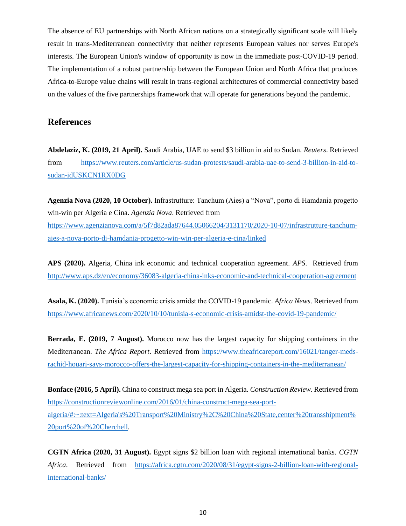The absence of EU partnerships with North African nations on a strategically significant scale will likely result in trans-Mediterranean connectivity that neither represents European values nor serves Europe's interests. The European Union's window of opportunity is now in the immediate post-COVID-19 period. The implementation of a robust partnership between the European Union and North Africa that produces Africa-to-Europe value chains will result in trans-regional architectures of commercial connectivity based on the values of the five partnerships framework that will operate for generations beyond the pandemic.

#### **References**

**Abdelaziz, K. (2019, 21 April).** Saudi Arabia, UAE to send \$3 billion in aid to Sudan. *Reuters*. Retrieved from [https://www.reuters.com/article/us-sudan-protests/saudi-arabia-uae-to-send-3-billion-in-aid-to](https://www.reuters.com/article/us-sudan-protests/saudi-arabia-uae-to-send-3-billion-in-aid-to-sudan-idUSKCN1RX0DG)[sudan-idUSKCN1RX0DG](https://www.reuters.com/article/us-sudan-protests/saudi-arabia-uae-to-send-3-billion-in-aid-to-sudan-idUSKCN1RX0DG)

**Agenzia Nova (2020, 10 October).** Infrastrutture: Tanchum (Aies) a "Nova", porto di Hamdania progetto win-win per Algeria e Cina. *Agenzia Nova*. Retrieved from

[https://www.agenzianova.com/a/5f7d82ada87644.05066204/3131170/2020-10-07/infrastrutture-tanchum](https://www.agenzianova.com/a/5f7d82ada87644.05066204/3131170/2020-10-07/infrastrutture-tanchum-aies-a-nova-porto-di-hamdania-progetto-win-win-per-algeria-e-cina/linked)[aies-a-nova-porto-di-hamdania-progetto-win-win-per-algeria-e-cina/linked](https://www.agenzianova.com/a/5f7d82ada87644.05066204/3131170/2020-10-07/infrastrutture-tanchum-aies-a-nova-porto-di-hamdania-progetto-win-win-per-algeria-e-cina/linked)

**APS (2020).** Algeria, China ink economic and technical cooperation agreement. *APS*. Retrieved from <http://www.aps.dz/en/economy/36083-algeria-china-inks-economic-and-technical-cooperation-agreement>

**Asala, K. (2020).** Tunisia's economic crisis amidst the COVID-19 pandemic. *Africa News*. Retrieved from <https://www.africanews.com/2020/10/10/tunisia-s-economic-crisis-amidst-the-covid-19-pandemic/>

**Berrada, E. (2019, 7 August).** Morocco now has the largest capacity for shipping containers in the Mediterranean. *The Africa Report*. Retrieved from [https://www.theafricareport.com/16021/tanger-meds](https://www.theafricareport.com/16021/tanger-meds-rachid-houari-says-morocco-offers-the-largest-capacity-for-shipping-containers-in-the-mediterranean/)[rachid-houari-says-morocco-offers-the-largest-capacity-for-shipping-containers-in-the-mediterranean/](https://www.theafricareport.com/16021/tanger-meds-rachid-houari-says-morocco-offers-the-largest-capacity-for-shipping-containers-in-the-mediterranean/)

**Bonface (2016, 5 April).** China to construct mega sea port in Algeria. *Construction Review*. Retrieved from [https://constructionreviewonline.com/2016/01/china-construct-mega-sea-port](https://constructionreviewonline.com/2016/01/china-construct-mega-sea-port-algeria/#:~:text=Algeria)[algeria/#:~:text=Algeria's%20Transport%20Ministry%2C%20China%20State,center%20transshipment%](https://constructionreviewonline.com/2016/01/china-construct-mega-sea-port-algeria/#:~:text=Algeria) [20port%20of%20Cherchell.](https://constructionreviewonline.com/2016/01/china-construct-mega-sea-port-algeria/#:~:text=Algeria)

**CGTN Africa (2020, 31 August).** Egypt signs \$2 billion loan with regional international banks. *CGTN Africa*. Retrieved from [https://africa.cgtn.com/2020/08/31/egypt-signs-2-billion-loan-with-regional](https://africa.cgtn.com/2020/08/31/egypt-signs-2-billion-loan-with-regional-international-banks/)[international-banks/](https://africa.cgtn.com/2020/08/31/egypt-signs-2-billion-loan-with-regional-international-banks/)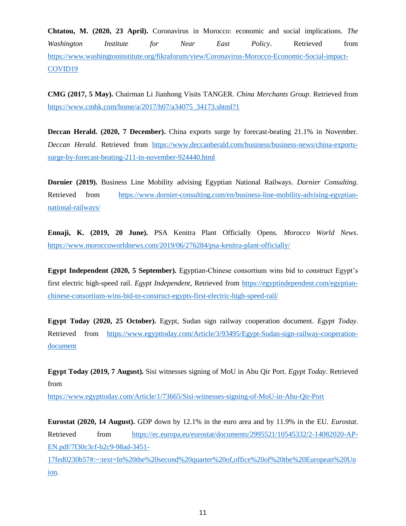**Chtatou, M. (2020, 23 April).** Coronavirus in Morocco: economic and social implications. *The Washington Institute for Near East Policy*. Retrieved from [https://www.washingtoninstitute.org/fikraforum/view/Coronavirus-Morocco-Economic-Social-impact-](https://www.washingtoninstitute.org/fikraforum/view/Coronavirus-Morocco-Economic-Social-impact-COVID19)[COVID19](https://www.washingtoninstitute.org/fikraforum/view/Coronavirus-Morocco-Economic-Social-impact-COVID19)

**CMG (2017, 5 May).** Chairman Li Jianhong Visits TANGER. *China Merchants Group*. Retrieved from [https://www.cmhk.com/home/a/2017/h07/a34075\\_34173.shtml?1](https://www.cmhk.com/home/a/2017/h07/a34075_34173.shtml?1)

**Deccan Herald. (2020, 7 December).** China exports surge by forecast-beating 21.1% in November. *Deccan Herald*. Retrieved from [https://www.deccanherald.com/business/business-news/china-exports](https://www.deccanherald.com/business/business-news/china-exports-surge-by-forecast-beating-211-in-november-924440.html)[surge-by-forecast-beating-211-in-november-924440.html](https://www.deccanherald.com/business/business-news/china-exports-surge-by-forecast-beating-211-in-november-924440.html)

**Dornier (2019).** Business Line Mobility advising Egyptian National Railways. *Dornier Consulting*. Retrieved from [https://www.dornier-consulting.com/en/business-line-mobility-advising-egyptian](https://www.dornier-consulting.com/en/business-line-mobility-advising-egyptian-national-railways/)[national-railways/](https://www.dornier-consulting.com/en/business-line-mobility-advising-egyptian-national-railways/)

**Ennaji, K. (2019, 20 June).** PSA Kenitra Plant Officially Opens. *Morocco World News*. <https://www.moroccoworldnews.com/2019/06/276284/psa-kenitra-plant-officially/>

**Egypt Independent (2020, 5 September).** Egyptian-Chinese consortium wins bid to construct Egypt's first electric high-speed rail. *Egypt Independent*, Retrieved from [https://egyptindependent.com/egyptian](https://egyptindependent.com/egyptian-chinese-consortium-wins-bid-to-construct-egypts-first-electric-high-speed-rail/)[chinese-consortium-wins-bid-to-construct-egypts-first-electric-high-speed-rail/](https://egyptindependent.com/egyptian-chinese-consortium-wins-bid-to-construct-egypts-first-electric-high-speed-rail/)

**Egypt Today (2020, 25 October).** Egypt, Sudan sign railway cooperation document. *Egypt Today*. Retrieved from [https://www.egypttoday.com/Article/3/93495/Egypt-Sudan-sign-railway-cooperation](https://www.egypttoday.com/Article/3/93495/Egypt-Sudan-sign-railway-cooperation-document)[document](https://www.egypttoday.com/Article/3/93495/Egypt-Sudan-sign-railway-cooperation-document)

**Egypt Today (2019, 7 August).** Sisi witnesses signing of MoU in Abu Qir Port. *Egypt Today*. Retrieved from

<https://www.egypttoday.com/Article/1/73665/Sisi-witnesses-signing-of-MoU-in-Abu-Qir-Port>

**Eurostat (2020, 14 August).** GDP down by 12.1% in the euro area and by 11.9% in the EU. *Eurostat*. Retrieved from [https://ec.europa.eu/eurostat/documents/2995521/10545332/2-14082020-AP-](https://ec.europa.eu/eurostat/documents/2995521/10545332/2-14082020-AP-EN.pdf/7f30c3cf-b2c9-98ad-3451-17fed0230b57#:~:text=In%20the%20second%20quarter%20of,office%20of%20the%20European%20Union)[EN.pdf/7f30c3cf-b2c9-98ad-3451-](https://ec.europa.eu/eurostat/documents/2995521/10545332/2-14082020-AP-EN.pdf/7f30c3cf-b2c9-98ad-3451-17fed0230b57#:~:text=In%20the%20second%20quarter%20of,office%20of%20the%20European%20Union)

[17fed0230b57#:~:text=In%20the%20second%20quarter%20of,office%20of%20the%20European%20Un](https://ec.europa.eu/eurostat/documents/2995521/10545332/2-14082020-AP-EN.pdf/7f30c3cf-b2c9-98ad-3451-17fed0230b57#:~:text=In%20the%20second%20quarter%20of,office%20of%20the%20European%20Union) [ion.](https://ec.europa.eu/eurostat/documents/2995521/10545332/2-14082020-AP-EN.pdf/7f30c3cf-b2c9-98ad-3451-17fed0230b57#:~:text=In%20the%20second%20quarter%20of,office%20of%20the%20European%20Union)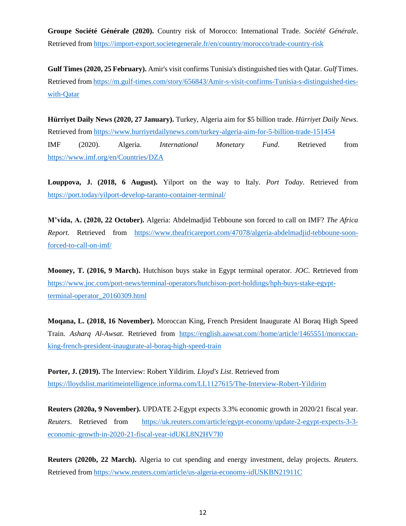**Groupe Société Générale (2020).** Country risk of Morocco: International Trade. *Société Générale*. Retrieved from <https://import-export.societegenerale.fr/en/country/morocco/trade-country-risk>

**Gulf Times (2020, 25 February).** Amir's visit confirms Tunisia's distinguished ties with Qatar. *Gulf* Times. Retrieved from [https://m.gulf-times.com/story/656843/Amir-s-visit-confirms-Tunisia-s-distinguished-ties](https://m.gulf-times.com/story/656843/Amir-s-visit-confirms-Tunisia-s-distinguished-ties-with-Qatar)[with-Qatar](https://m.gulf-times.com/story/656843/Amir-s-visit-confirms-Tunisia-s-distinguished-ties-with-Qatar)

**Hürriyet Daily News (2020, 27 January).** Turkey, Algeria aim for \$5 billion trade. *Hürriyet Daily News*. Retrieved fro[m https://www.hurriyetdailynews.com/turkey-algeria-aim-for-5-billion-trade-151454](https://www.hurriyetdailynews.com/turkey-algeria-aim-for-5-billion-trade-151454) IMF (2020). Algeria. *International Monetary Fund*. Retrieved from <https://www.imf.org/en/Countries/DZA>

**Louppova, J. (2018, 6 August).** Yilport on the way to Italy. *Port Today*. Retrieved from <https://port.today/yilport-develop-taranto-container-terminal/>

**M'vida, A. (2020, 22 October).** Algeria: Abdelmadjid Tebboune son forced to call on IMF? *The Africa Report*. Retrieved from [https://www.theafricareport.com/47078/algeria-abdelmadjid-tebboune-soon](https://www.theafricareport.com/47078/algeria-abdelmadjid-tebboune-soon-forced-to-call-on-imf/)[forced-to-call-on-imf/](https://www.theafricareport.com/47078/algeria-abdelmadjid-tebboune-soon-forced-to-call-on-imf/)

**Mooney, T. (2016, 9 March).** Hutchison buys stake in Egypt terminal operator. *JOC*. Retrieved from [https://www.joc.com/port-news/terminal-operators/hutchison-port-holdings/hph-buys-stake-egypt](https://www.joc.com/port-news/terminal-operators/hutchison-port-holdings/hph-buys-stake-egypt-terminal-operator_20160309.html)[terminal-operator\\_20160309.html](https://www.joc.com/port-news/terminal-operators/hutchison-port-holdings/hph-buys-stake-egypt-terminal-operator_20160309.html)

**Moqana, L. (2018, 16 November).** Moroccan King, French President Inaugurate Al Boraq High Speed Train. *Asharq Al-Awsat*. Retrieved from [https://english.aawsat.com//home/article/1465551/moroccan](https://english.aawsat.com/home/article/1465551/moroccan-king-french-president-inaugurate-al-boraq-high-speed-train)[king-french-president-inaugurate-al-boraq-high-speed-train](https://english.aawsat.com/home/article/1465551/moroccan-king-french-president-inaugurate-al-boraq-high-speed-train)

**Porter, J. (2019).** The Interview: Robert Yildirim. *Lloyd's List*. Retrieved from <https://lloydslist.maritimeintelligence.informa.com/LL1127615/The-Interview-Robert-Yildirim>

**Reuters (2020a, 9 November).** UPDATE 2-Egypt expects 3.3% economic growth in 2020/21 fiscal year. *Reuters*. Retrieved from [https://uk.reuters.com/article/egypt-economy/update-2-egypt-expects-3-3](https://uk.reuters.com/article/egypt-economy/update-2-egypt-expects-3-3-economic-growth-in-2020-21-fiscal-year-idUKL8N2HV7I0) [economic-growth-in-2020-21-fiscal-year-idUKL8N2HV7I0](https://uk.reuters.com/article/egypt-economy/update-2-egypt-expects-3-3-economic-growth-in-2020-21-fiscal-year-idUKL8N2HV7I0)

**Reuters (2020b, 22 March).** Algeria to cut spending and energy investment, delay projects. *Reuters*. Retrieved fro[m https://www.reuters.com/article/us-algeria-economy-idUSKBN21911C](https://www.reuters.com/article/us-algeria-economy-idUSKBN21911C)